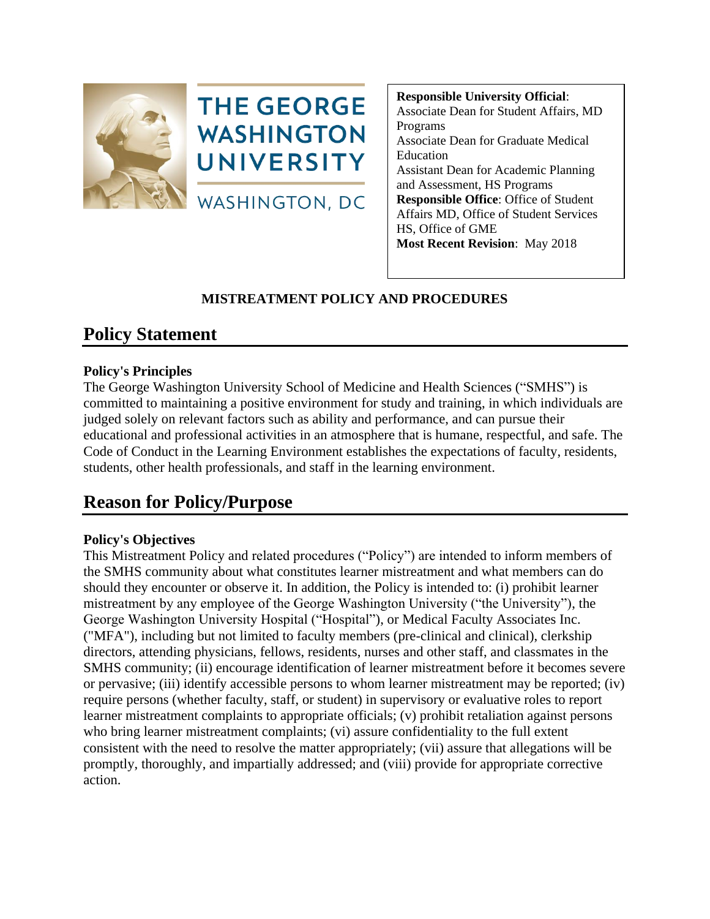



**Responsible University Official**: Associate Dean for Student Affairs, MD Programs Associate Dean for Graduate Medical Education Assistant Dean for Academic Planning and Assessment, HS Programs **Responsible Office**: Office of Student Affairs MD, Office of Student Services HS, Office of GME **Most Recent Revision**: May 2018

## **MISTREATMENT POLICY AND PROCEDURES**

## **Policy Statement**

## **Policy's Principles**

The George Washington University School of Medicine and Health Sciences ("SMHS") is committed to maintaining a positive environment for study and training, in which individuals are judged solely on relevant factors such as ability and performance, and can pursue their educational and professional activities in an atmosphere that is humane, respectful, and safe. The Code of Conduct in the Learning Environment establishes the expectations of faculty, residents, students, other health professionals, and staff in the learning environment.

# **Reason for Policy/Purpose**

## **Policy's Objectives**

This Mistreatment Policy and related procedures ("Policy") are intended to inform members of the SMHS community about what constitutes learner mistreatment and what members can do should they encounter or observe it. In addition, the Policy is intended to: (i) prohibit learner mistreatment by any employee of the George Washington University ("the University"), the George Washington University Hospital ("Hospital"), or Medical Faculty Associates Inc. ("MFA"), including but not limited to faculty members (pre-clinical and clinical), clerkship directors, attending physicians, fellows, residents, nurses and other staff, and classmates in the SMHS community; (ii) encourage identification of learner mistreatment before it becomes severe or pervasive; (iii) identify accessible persons to whom learner mistreatment may be reported; (iv) require persons (whether faculty, staff, or student) in supervisory or evaluative roles to report learner mistreatment complaints to appropriate officials; (v) prohibit retaliation against persons who bring learner mistreatment complaints; (vi) assure confidentiality to the full extent consistent with the need to resolve the matter appropriately; (vii) assure that allegations will be promptly, thoroughly, and impartially addressed; and (viii) provide for appropriate corrective action.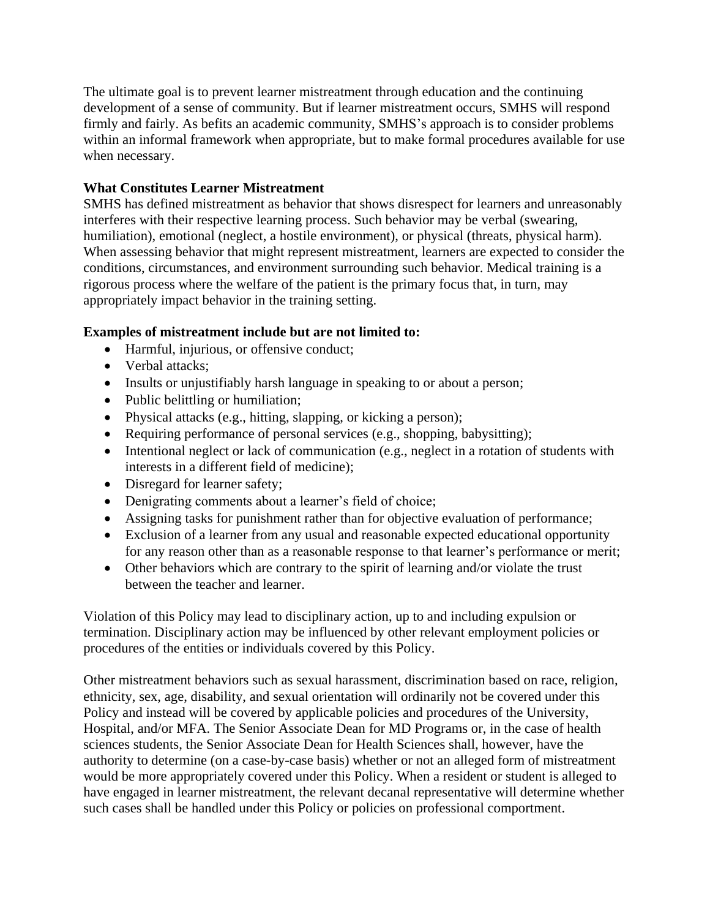The ultimate goal is to prevent learner mistreatment through education and the continuing development of a sense of community. But if learner mistreatment occurs, SMHS will respond firmly and fairly. As befits an academic community, SMHS's approach is to consider problems within an informal framework when appropriate, but to make formal procedures available for use when necessary.

### **What Constitutes Learner Mistreatment**

 SMHS has defined mistreatment as behavior that shows disrespect for learners and unreasonably When assessing behavior that might represent mistreatment, learners are expected to consider the interferes with their respective learning process. Such behavior may be verbal (swearing, humiliation), emotional (neglect, a hostile environment), or physical (threats, physical harm). conditions, circumstances, and environment surrounding such behavior. Medical training is a rigorous process where the welfare of the patient is the primary focus that, in turn, may appropriately impact behavior in the training setting.

### **Examples of mistreatment include but are not limited to:**

- Harmful, injurious, or offensive conduct;
- Verbal attacks:
- Insults or unjustifiably harsh language in speaking to or about a person;
- Public belittling or humiliation;
- Physical attacks (e.g., hitting, slapping, or kicking a person);
- Requiring performance of personal services (e.g., shopping, babysitting);
- Intentional neglect or lack of communication (e.g., neglect in a rotation of students with interests in a different field of medicine);
- Disregard for learner safety;
- Denigrating comments about a learner's field of choice;
- Assigning tasks for punishment rather than for objective evaluation of performance;
- Exclusion of a learner from any usual and reasonable expected educational opportunity for any reason other than as a reasonable response to that learner's performance or merit;
- Other behaviors which are contrary to the spirit of learning and/or violate the trust between the teacher and learner.

Violation of this Policy may lead to disciplinary action, up to and including expulsion or termination. Disciplinary action may be influenced by other relevant employment policies or procedures of the entities or individuals covered by this Policy.

Other mistreatment behaviors such as sexual harassment, discrimination based on race, religion, ethnicity, sex, age, disability, and sexual orientation will ordinarily not be covered under this Policy and instead will be covered by applicable policies and procedures of the University, Hospital, and/or MFA. The Senior Associate Dean for MD Programs or, in the case of health sciences students, the Senior Associate Dean for Health Sciences shall, however, have the authority to determine (on a case-by-case basis) whether or not an alleged form of mistreatment would be more appropriately covered under this Policy. When a resident or student is alleged to have engaged in learner mistreatment, the relevant decanal representative will determine whether such cases shall be handled under this Policy or policies on professional comportment.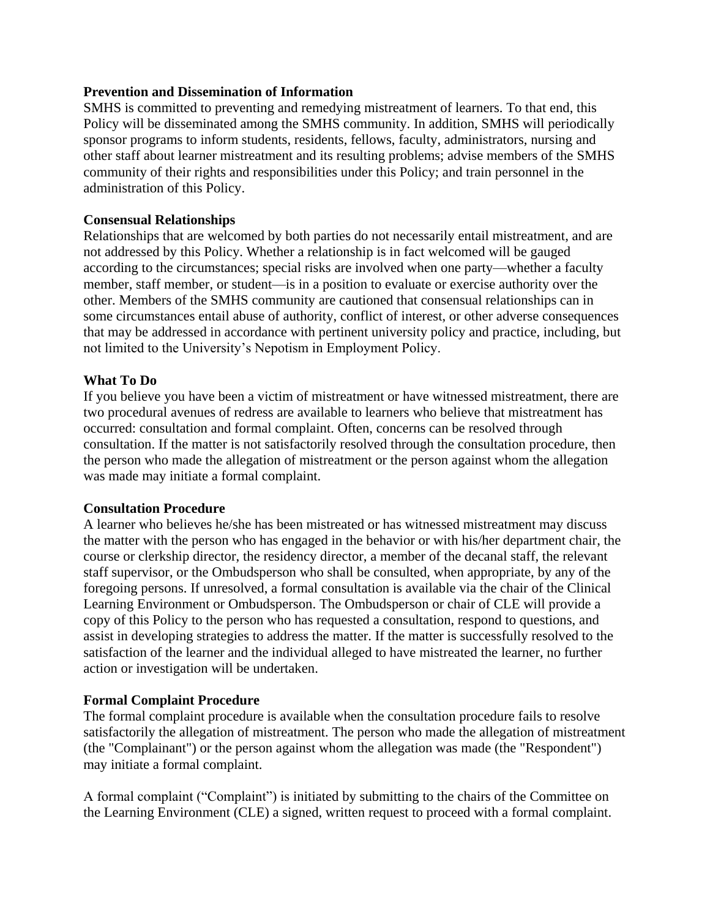#### **Prevention and Dissemination of Information**

SMHS is committed to preventing and remedying mistreatment of learners. To that end, this Policy will be disseminated among the SMHS community. In addition, SMHS will periodically sponsor programs to inform students, residents, fellows, faculty, administrators, nursing and other staff about learner mistreatment and its resulting problems; advise members of the SMHS community of their rights and responsibilities under this Policy; and train personnel in the administration of this Policy.

#### **Consensual Relationships**

 other. Members of the SMHS community are cautioned that consensual relationships can in Relationships that are welcomed by both parties do not necessarily entail mistreatment, and are not addressed by this Policy. Whether a relationship is in fact welcomed will be gauged according to the circumstances; special risks are involved when one party—whether a faculty member, staff member, or student—is in a position to evaluate or exercise authority over the some circumstances entail abuse of authority, conflict of interest, or other adverse consequences that may be addressed in accordance with pertinent university policy and practice, including, but not limited to the University's Nepotism in Employment Policy.

#### **What To Do**

If you believe you have been a victim of mistreatment or have witnessed mistreatment, there are two procedural avenues of redress are available to learners who believe that mistreatment has occurred: consultation and formal complaint. Often, concerns can be resolved through consultation. If the matter is not satisfactorily resolved through the consultation procedure, then the person who made the allegation of mistreatment or the person against whom the allegation was made may initiate a formal complaint.

#### **Consultation Procedure**

A learner who believes he/she has been mistreated or has witnessed mistreatment may discuss the matter with the person who has engaged in the behavior or with his/her department chair, the course or clerkship director, the residency director, a member of the decanal staff, the relevant staff supervisor, or the Ombudsperson who shall be consulted, when appropriate, by any of the foregoing persons. If unresolved, a formal consultation is available via the chair of the Clinical Learning Environment or Ombudsperson. The Ombudsperson or chair of CLE will provide a copy of this Policy to the person who has requested a consultation, respond to questions, and assist in developing strategies to address the matter. If the matter is successfully resolved to the satisfaction of the learner and the individual alleged to have mistreated the learner, no further action or investigation will be undertaken.

#### **Formal Complaint Procedure**

 The formal complaint procedure is available when the consultation procedure fails to resolve satisfactorily the allegation of mistreatment. The person who made the allegation of mistreatment (the "Complainant") or the person against whom the allegation was made (the "Respondent") may initiate a formal complaint.

A formal complaint ("Complaint") is initiated by submitting to the chairs of the Committee on the Learning Environment (CLE) a signed, written request to proceed with a formal complaint.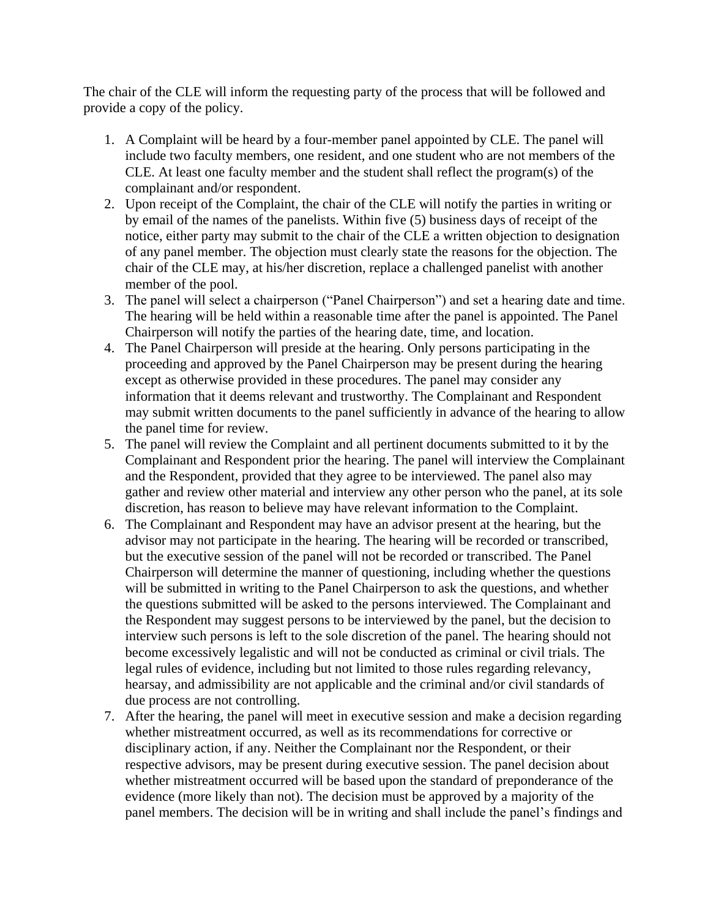The chair of the CLE will inform the requesting party of the process that will be followed and provide a copy of the policy.

- 1. A Complaint will be heard by a four-member panel appointed by CLE. The panel will include two faculty members, one resident, and one student who are not members of the CLE. At least one faculty member and the student shall reflect the program(s) of the complainant and/or respondent.
- 2. Upon receipt of the Complaint, the chair of the CLE will notify the parties in writing or by email of the names of the panelists. Within five (5) business days of receipt of the notice, either party may submit to the chair of the CLE a written objection to designation of any panel member. The objection must clearly state the reasons for the objection. The chair of the CLE may, at his/her discretion, replace a challenged panelist with another member of the pool.
- 3. The panel will select a chairperson ("Panel Chairperson") and set a hearing date and time. The hearing will be held within a reasonable time after the panel is appointed. The Panel Chairperson will notify the parties of the hearing date, time, and location.
- 4. The Panel Chairperson will preside at the hearing. Only persons participating in the proceeding and approved by the Panel Chairperson may be present during the hearing except as otherwise provided in these procedures. The panel may consider any information that it deems relevant and trustworthy. The Complainant and Respondent may submit written documents to the panel sufficiently in advance of the hearing to allow the panel time for review.
- 5. The panel will review the Complaint and all pertinent documents submitted to it by the Complainant and Respondent prior the hearing. The panel will interview the Complainant and the Respondent, provided that they agree to be interviewed. The panel also may gather and review other material and interview any other person who the panel, at its sole discretion, has reason to believe may have relevant information to the Complaint.
- 6. The Complainant and Respondent may have an advisor present at the hearing, but the advisor may not participate in the hearing. The hearing will be recorded or transcribed, but the executive session of the panel will not be recorded or transcribed. The Panel Chairperson will determine the manner of questioning, including whether the questions will be submitted in writing to the Panel Chairperson to ask the questions, and whether the questions submitted will be asked to the persons interviewed. The Complainant and the Respondent may suggest persons to be interviewed by the panel, but the decision to interview such persons is left to the sole discretion of the panel. The hearing should not become excessively legalistic and will not be conducted as criminal or civil trials. The legal rules of evidence, including but not limited to those rules regarding relevancy, hearsay, and admissibility are not applicable and the criminal and/or civil standards of due process are not controlling.
- 7. After the hearing, the panel will meet in executive session and make a decision regarding whether mistreatment occurred, as well as its recommendations for corrective or disciplinary action, if any. Neither the Complainant nor the Respondent, or their respective advisors, may be present during executive session. The panel decision about whether mistreatment occurred will be based upon the standard of preponderance of the evidence (more likely than not). The decision must be approved by a majority of the panel members. The decision will be in writing and shall include the panel's findings and